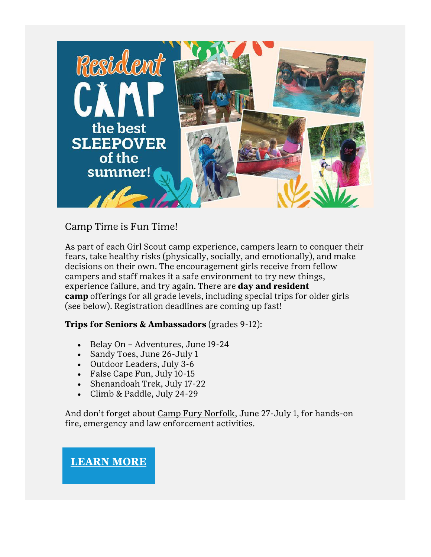

# Camp Time is Fun Time!

As part of each Girl Scout camp experience, campers learn to conquer their fears, take healthy risks (physically, socially, and emotionally), and make decisions on their own. The encouragement girls receive from fellow campers and staff makes it a safe environment to try new things, experience failure, and try again. There are **day and resident camp** offerings for all grade levels, including special trips for older girls (see below). Registration deadlines are coming up fast!

#### **Trips for Seniors & Ambassadors** (grades 9-12):

- Belay On Adventures, June 19-24
- Sandy Toes, June 26-July 1
- Outdoor Leaders, July 3-6
- False Cape Fun, July 10-15
- Shenandoah Trek, July 17-22
- Climb & Paddle, July 24-29

And don't forget about [Camp Fury Norfolk,](https://www.gsccc.org/en/sf-events-repository/2022/camp-fury-norfolk-.html) June 27-July 1, for hands-on fire, emergency and law enforcement activities.

**[LEARN](https://www.gsccc.org/en/camp/camps-facilities.html?utm_source=family-connections&utm_medium=email) MORE**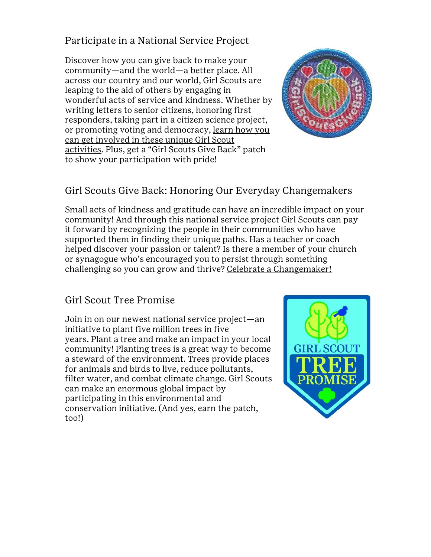## Participate in a National Service Project

Discover how you can give back to make your community—and the world—a better place. All across our country and our world, Girl Scouts are leaping to the aid of others by engaging in wonderful acts of service and kindness. Whether by writing letters to senior citizens, honoring first responders, taking part in a citizen science project, or promoting voting and democracy, [learn how you](https://www.girlscouts.org/en/activity-zone/national-service-projects.html)  [can get involved in these unique Girl Scout](https://www.girlscouts.org/en/activity-zone/national-service-projects.html)  [activities](https://www.girlscouts.org/en/activity-zone/national-service-projects.html). Plus, get a "Girl Scouts Give Back" patch to show your participation with pride!



# Girl Scouts Give Back: Honoring Our Everyday Changemakers

Small acts of kindness and gratitude can have an incredible impact on your community! And through this national service project Girl Scouts can pay it forward by recognizing the people in their communities who have supported them in finding their unique paths. Has a teacher or coach helped discover your passion or talent? Is there a member of your church or synagogue who's encouraged you to persist through something challenging so you can grow and thrive? [Celebrate a Changemaker!](https://www.girlscouts.org/en/activity-zone/national-service-projects.html#gratitude)

## Girl Scout Tree Promise

Join in on our newest national service project—an initiative to plant five million trees in five years. [Plant a tree and make an impact in your local](https://www.girlscouts.org/en/activity-zone/national-service-projects.html#promise)  [community!](https://www.girlscouts.org/en/activity-zone/national-service-projects.html#promise) Planting trees is a great way to become a steward of the environment. Trees provide places for animals and birds to live, reduce pollutants, filter water, and combat climate change. Girl Scouts can make an enormous global impact by participating in this environmental and conservation initiative. (And yes, earn the patch, too!)

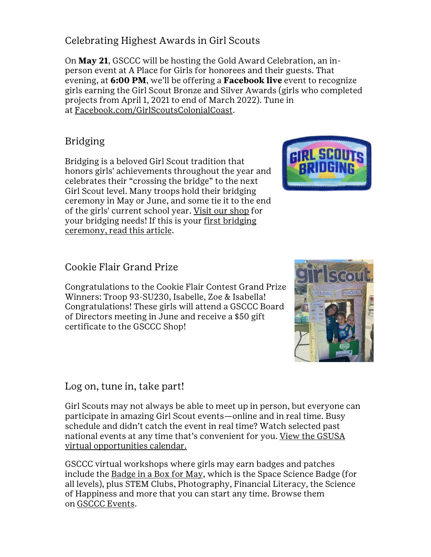# Celebrating Highest Awards in Girl Scouts

On **May 21**, GSCCC will be hosting the Gold Award Celebration, an inperson event at A Place for Girls for honorees and their guests. That evening, at **6:00 PM**, we'll be offering a **Facebook live** event to recognize girls earning the Girl Scout Bronze and Silver Awards (girls who completed projects from April 1, 2021 to end of March 2022). Tune in at [Facebook.com/GirlScoutsColonialCoast.](https://www.facebook.com/girlscoutscolonialcoast/)

# Bridging

Bridging is a beloved Girl Scout tradition that honors girls' achievements throughout the year and celebrates their "crossing the bridge" to the next Girl Scout level. Many troops hold their bridging ceremony in May or June, and some tie it to the end of the girls' current school year. [Visit our shop](https://www.gsccc.org/en/our-council/shop.html?utm_source=family-connections&utm_medium=email) for your bridging needs! If this is your [first bridging](https://www.girlscouts.org/en/tips-for-troopleaders/traditions/planning-your-first-girl-scout-bridging-ceremony.html#:~:text=Bridging%20is%20a%20beloved%20Girl,the%20next%20Girl%20Scout%20level.&text=Many%20troops%20hold%20their%20bridging,the%20girls)  [ceremony, read this article.](https://www.girlscouts.org/en/tips-for-troopleaders/traditions/planning-your-first-girl-scout-bridging-ceremony.html#:~:text=Bridging%20is%20a%20beloved%20Girl,the%20next%20Girl%20Scout%20level.&text=Many%20troops%20hold%20their%20bridging,the%20girls)

# Cookie Flair Grand Prize

Congratulations to the Cookie Flair Contest Grand Prize Winners: Troop 93-SU230, Isabelle, Zoe & Isabella! Congratulations! These girls will attend a GSCCC Board of Directors meeting in June and receive a \$50 gift certificate to the GSCCC Shop!

## Log on, tune in, take part!

Girl Scouts may not always be able to meet up in person, but everyone can participate in amazing Girl Scout events—online and in real time. Busy schedule and didn't catch the event in real time? Watch selected past national events at any time that's convenient for you. [View the GSUSA](https://www.girlscouts.org/en/activity-zone/virtual-event-calendar.html)  [virtual opportunities calendar.](https://www.girlscouts.org/en/activity-zone/virtual-event-calendar.html)

GSCCC virtual workshops where girls may earn badges and patches include the [Badge in a Box for May,](https://www.gsccc.org/en/sf-events-repository/2022/may-badge-in-a-box.html) which is the Space Science Badge (for all levels), plus STEM Clubs, Photography, Financial Literacy, the Science of Happiness and more that you can start any time. Browse them on [GSCCC Events.](https://www.gsccc.org/en/events/event-calendar.html?utm_source=family-connections&utm_medium=email)



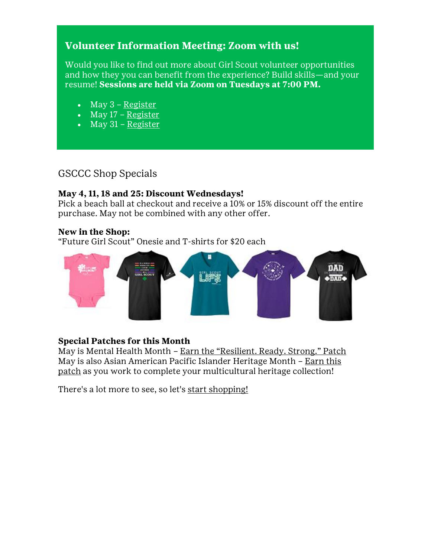# **Volunteer Information Meeting: Zoom with us!**

Would you like to find out more about Girl Scout volunteer opportunities and how they you can benefit from the experience? Build skills—and your resume! **Sessions are held via Zoom on Tuesdays at 7:00 PM.**

- $\bullet$  May 3 [Register](https://forms.gle/cZFeSadrW7X5MEXdA)
- $\bullet$  May 17 [Register](https://forms.gle/TqMTgvrSTApDRscv8)
- $\bullet$  May 31 [Register](https://forms.gle/vWBXRR5B5yFhqXoV7)

#### GSCCC Shop Specials

#### **May 4, 11, 18 and 25: Discount Wednesdays!**

Pick a beach ball at checkout and receive a 10% or 15% discount off the entire purchase. May not be combined with any other offer.

#### **New in the Shop:**

["Future Girl Scout" Onesie and T](https://www.gsccc.org/en/our-council/shop.html?utm_source=family-connections&utm_medium=email)-shirts for \$20 each



#### **Special Patches for this Month**

May is Mental Health Month – [Earn the "Resilient. Ready. Strong." Patch](https://www.girlscouts.org/en/activities-for-girls/for-every-girl/mental-health-wellness-activities.html) May is also Asian American Pacific Islander Heritage Month – [Earn this](https://www.girlscouts.org/en/activities-for-girls/for-every-girl/multicultural-community-celebrations.html)  [patch](https://www.girlscouts.org/en/activities-for-girls/for-every-girl/multicultural-community-celebrations.html) as you work to complete your multicultural heritage collection!

There's a lot more to see, so let's [start shopping!](https://www.gsccc.org/en/our-council/shop.html?utm_source=family-connections&utm_medium=email)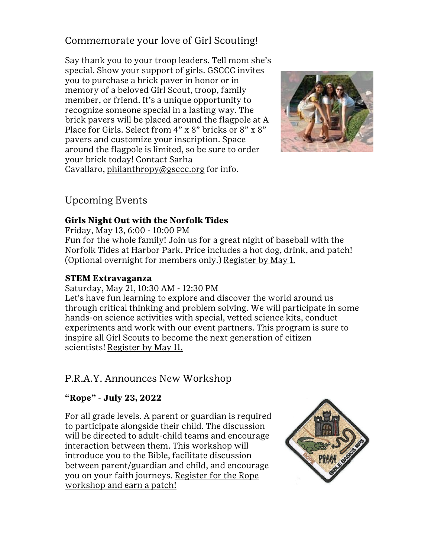## Commemorate your love of Girl Scouting!

Say thank you to your troop leaders. Tell mom she's special. Show your support of girls. GSCCC invites you to [purchase a brick paver](https://www.gsccc.org/en/donate/buy-a-brick.html?utm_source=family-connections&utm_medium=email) in honor or in memory of a beloved Girl Scout, troop, family member, or friend. It's a unique opportunity to recognize someone special in a lasting way. The brick pavers will be placed around the flagpole at A Place for Girls. Select from 4" x 8" bricks or 8" x 8" pavers and customize your inscription. Space around the flagpole is limited, so be sure to order your brick today! Contact Sarha Cavallaro, [philanthropy@gsccc.org](mailto:philanthropy@gsccc.org?subject=Buy%20a%20Brick) for info.



## Upcoming Events

#### **Girls Night Out with the Norfolk Tides**

Friday, May 13, 6:00 - 10:00 PM

Fun for the whole family! Join us for a great night of baseball with the Norfolk Tides at Harbor Park. Price includes a hot dog, drink, and patch! (Optional overnight for members only.) [Register by May 1.](https://www.gsccc.org/content/gsccc/en/sf-events-repository/2022/girls-night-out-with-the-tides.html?utm_source=family-connections&utm_medium=email)

#### **STEM Extravaganza**

#### Saturday, May 21, 10:30 AM - 12:30 PM

Let's have fun learning to explore and discover the world around us through critical thinking and problem solving. We will participate in some hands-on science activities with special, vetted science kits, conduct experiments and work with our event partners. This program is sure to inspire all Girl Scouts to become the next generation of citizen scientists! [Register by May 11.](https://www.gsccc.org/en/sf-events-repository/2022/stem-extravaganza.html?utm_source=family-connections&utm_medium=email)

## P.R.A.Y. Announces New Workshop

#### **"Rope" - July 23, 2022**

For all grade levels. A parent or guardian is required to participate alongside their child. The discussion will be directed to adult-child teams and encourage interaction between them. This workshop will introduce you to the Bible, facilitate discussion between parent/guardian and child, and encourage you on your faith journeys. [Register for the Rope](https://store.praypub.org/rope-rp3-workshop)  [workshop and earn a patch!](https://store.praypub.org/rope-rp3-workshop)